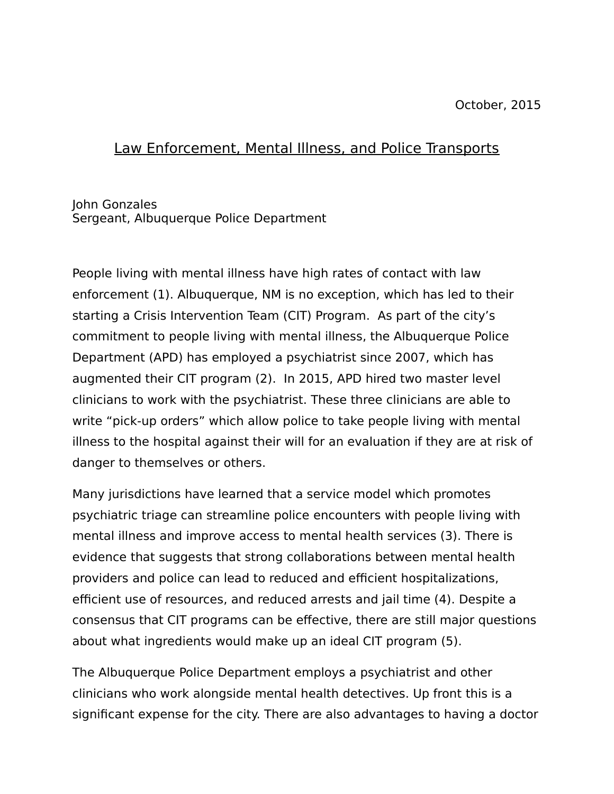## Law Enforcement, Mental Illness, and Police Transports

## John Gonzales Sergeant, Albuquerque Police Department

People living with mental illness have high rates of contact with law enforcement (1). Albuquerque, NM is no exception, which has led to their starting a Crisis Intervention Team (CIT) Program. As part of the city's commitment to people living with mental illness, the Albuquerque Police Department (APD) has employed a psychiatrist since 2007, which has augmented their CIT program (2). In 2015, APD hired two master level clinicians to work with the psychiatrist. These three clinicians are able to write "pick-up orders" which allow police to take people living with mental illness to the hospital against their will for an evaluation if they are at risk of danger to themselves or others.

Many jurisdictions have learned that a service model which promotes psychiatric triage can streamline police encounters with people living with mental illness and improve access to mental health services (3). There is evidence that suggests that strong collaborations between mental health providers and police can lead to reduced and efficient hospitalizations, efficient use of resources, and reduced arrests and jail time (4). Despite a consensus that CIT programs can be effective, there are still major questions about what ingredients would make up an ideal CIT program (5).

The Albuquerque Police Department employs a psychiatrist and other clinicians who work alongside mental health detectives. Up front this is a significant expense for the city. There are also advantages to having a doctor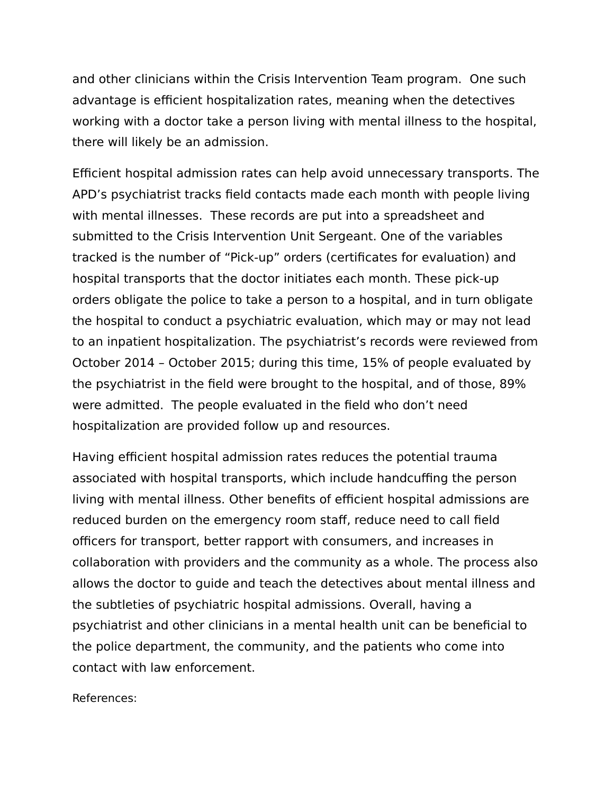and other clinicians within the Crisis Intervention Team program. One such advantage is efficient hospitalization rates, meaning when the detectives working with a doctor take a person living with mental illness to the hospital, there will likely be an admission.

Efficient hospital admission rates can help avoid unnecessary transports. The APD's psychiatrist tracks field contacts made each month with people living with mental illnesses. These records are put into a spreadsheet and submitted to the Crisis Intervention Unit Sergeant. One of the variables tracked is the number of "Pick-up" orders (certificates for evaluation) and hospital transports that the doctor initiates each month. These pick-up orders obligate the police to take a person to a hospital, and in turn obligate the hospital to conduct a psychiatric evaluation, which may or may not lead to an inpatient hospitalization. The psychiatrist's records were reviewed from October 2014 – October 2015; during this time, 15% of people evaluated by the psychiatrist in the field were brought to the hospital, and of those, 89% were admitted. The people evaluated in the field who don't need hospitalization are provided follow up and resources.

Having efficient hospital admission rates reduces the potential trauma associated with hospital transports, which include handcuffing the person living with mental illness. Other benefits of efficient hospital admissions are reduced burden on the emergency room staff, reduce need to call field officers for transport, better rapport with consumers, and increases in collaboration with providers and the community as a whole. The process also allows the doctor to guide and teach the detectives about mental illness and the subtleties of psychiatric hospital admissions. Overall, having a psychiatrist and other clinicians in a mental health unit can be beneficial to the police department, the community, and the patients who come into contact with law enforcement.

References: